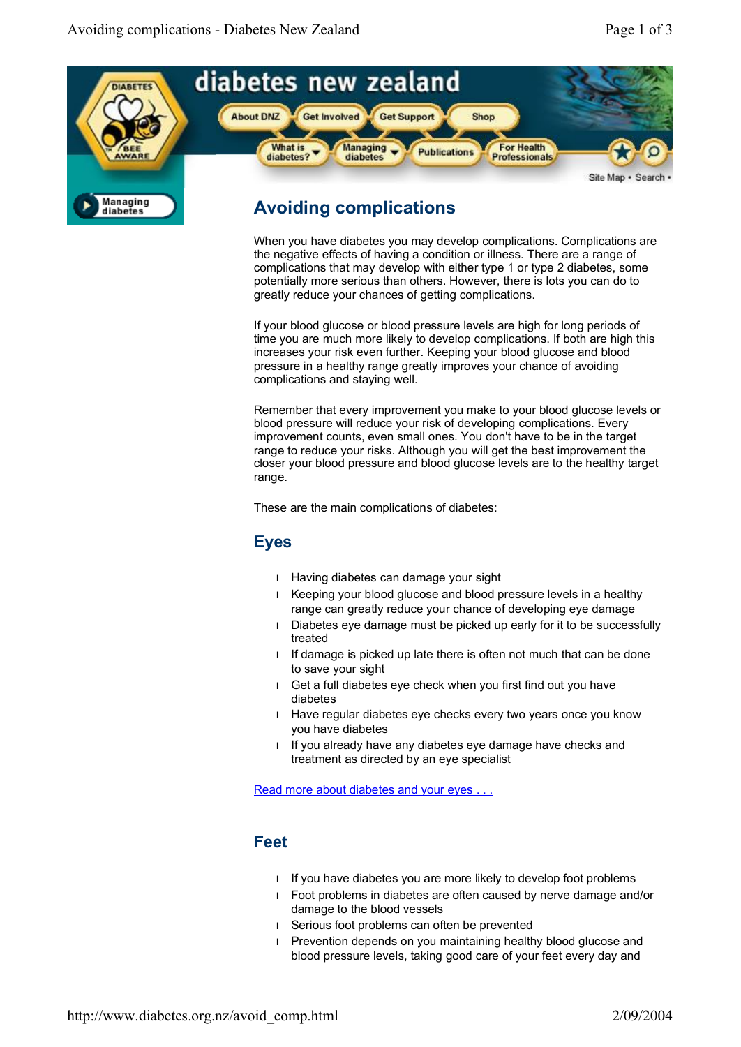diabetes



# **Avoiding complications**

When you have diabetes you may develop complications. Complications are the negative effects of having a condition or illness. There are a range of complications that may develop with either type 1 or type 2 diabetes, some potentially more serious than others. However, there is lots you can do to greatly reduce your chances of getting complications.

If your blood glucose or blood pressure levels are high for long periods of time you are much more likely to develop complications. If both are high this increases your risk even further. Keeping your blood glucose and blood pressure in a healthy range greatly improves your chance of avoiding complications and staying well.

Remember that every improvement you make to your blood glucose levels or blood pressure will reduce your risk of developing complications. Every improvement counts, even small ones. You don't have to be in the target range to reduce your risks. Although you will get the best improvement the closer your blood pressure and blood glucose levels are to the healthy target range.

These are the main complications of diabetes:

#### **Eyes**

- l Having diabetes can damage your sight
- l Keeping your blood glucose and blood pressure levels in a healthy range can greatly reduce your chance of developing eye damage
- l Diabetes eye damage must be picked up early for it to be successfully treated
- I If damage is picked up late there is often not much that can be done to save your sight
- l Get a full diabetes eye check when you first find out you have diabetes
- l Have regular diabetes eye checks every two years once you know you have diabetes
- I If you already have any diabetes eye damage have checks and treatment as directed by an eye specialist

Read more about diabetes and your eyes

## **Feet**

- l If you have diabetes you are more likely to develop foot problems
- l Foot problems in diabetes are often caused by nerve damage and/or damage to the blood vessels
- l Serious foot problems can often be prevented
- l Prevention depends on you maintaining healthy blood glucose and blood pressure levels, taking good care of your feet every day and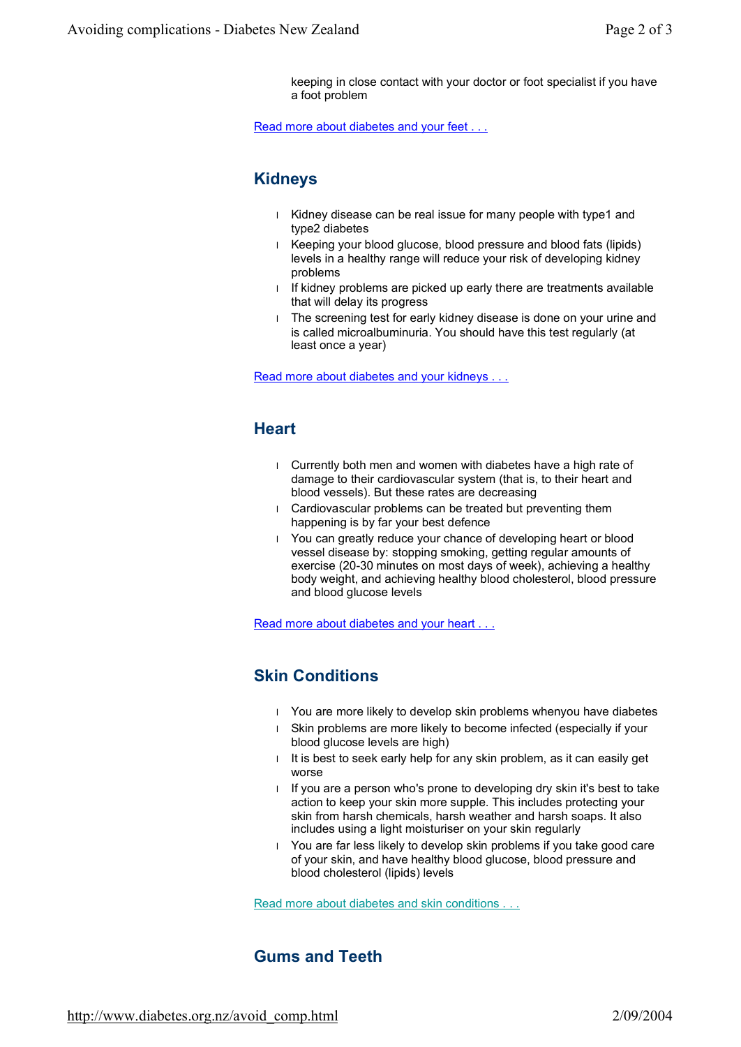keeping in close contact with your doctor or foot specialist if you have a foot problem

Read more about diabetes and your feet . . .

#### **Kidneys**

- l Kidney disease can be real issue for many people with type1 and type2 diabetes
- l Keeping your blood glucose, blood pressure and blood fats (lipids) levels in a healthy range will reduce your risk of developing kidney problems
- l If kidney problems are picked up early there are treatments available that will delay its progress
- l The screening test for early kidney disease is done on your urine and is called microalbuminuria. You should have this test regularly (at least once a year)

Read more about diabetes and your kidneys .

#### **Heart**

- l Currently both men and women with diabetes have a high rate of damage to their cardiovascular system (that is, to their heart and blood vessels). But these rates are decreasing
- l Cardiovascular problems can be treated but preventing them happening is by far your best defence
- l You can greatly reduce your chance of developing heart or blood vessel disease by: stopping smoking, getting regular amounts of exercise (20-30 minutes on most days of week), achieving a healthy body weight, and achieving healthy blood cholesterol, blood pressure and blood glucose levels

Read more about diabetes and your heart . . .

## **Skin Conditions**

- l You are more likely to develop skin problems whenyou have diabetes
- l Skin problems are more likely to become infected (especially if your blood glucose levels are high)
- I It is best to seek early help for any skin problem, as it can easily get worse
- l If you are a person who's prone to developing dry skin it's best to take action to keep your skin more supple. This includes protecting your skin from harsh chemicals, harsh weather and harsh soaps. It also includes using a light moisturiser on your skin regularly
- l You are far less likely to develop skin problems if you take good care of your skin, and have healthy blood glucose, blood pressure and blood cholesterol (lipids) levels

Read more about diabetes and skin conditions

#### **Gums and Teeth**